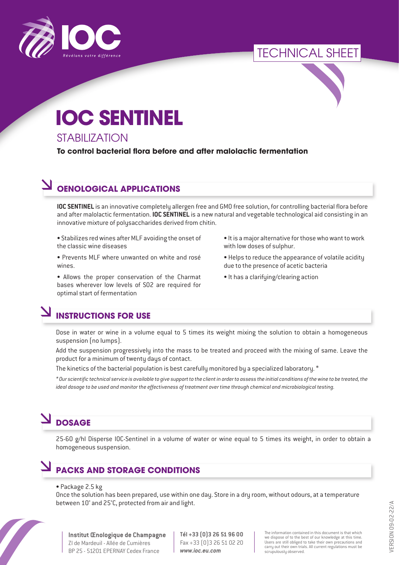

# TECHNICAL SHEET

# **IOC SENTINEL**

#### **STABILIZATION**

**To control bacterial flora before and after malolactic fermentation**

## **OENOLOGICAL APPLICATIONS**

**IOC SENTINEL** is an innovative completely allergen free and GMO free solution, for controlling bacterial flora before and after malolactic fermentation. **IOC SENTINEL** is a new natural and vegetable technological aid consisting in an innovative mixture of polysaccharides derived from chitin.

• Stabilizes red wines after MLF avoiding the onset of the classic wine diseases

- Prevents MLF where unwanted on white and rosé wines.
- Allows the proper conservation of the Charmat bases wherever low levels of SO2 are required for optimal start of fermentation
- It is a major alternative for those who want to work with low doses of sulphur.
- Helps to reduce the appearance of volatile acidity due to the presence of acetic bacteria
- It has a clarifying/clearing action

# **INSTRUCTIONS FOR USE**

Dose in water or wine in a volume equal to 5 times its weight mixing the solution to obtain a homogeneous suspension (no lumps).

Add the suspension progressively into the mass to be treated and proceed with the mixing of same. Leave the product for a minimum of twenty days of contact.

The kinetics of the bacterial population is best carefully monitored by a specialized laboratory. \*

*\* Our scientific technical service is available to give support to the client in order to assess the initial conditions of the wine to be treated, the ideal dosage to be used and monitor the effectiveness of treatment over time through chemical and microbiological testing.*

# **DOSAGE**

25-60 g/hl Disperse IOC-Sentinel in a volume of water or wine equal to 5 times its weight, in order to obtain a homogeneous suspension.

### **PACKS AND STORAGE CONDITIONS**

#### • Package 2.5 kg

Once the solution has been prepared, use within one day. Store in a dry room, without odours, at a temperature between 10° and 25°C, protected from air and light.



**Institut Œnologique de Champagne** ZI de Mardeuil - Allée de Cumières BP 25 - 51201 EPERNAY Cedex France

**Tél +33 (0)3 26 51 96 00** Fax +33 (0)3 26 51 02 20 *www.ioc.eu.com*

The information contained in this document is that which we dispose of to the best of our knowledge at this time. Users are still obliged to take their own precautions and carry out their own trials. All current regulations must be scrupulously observed.